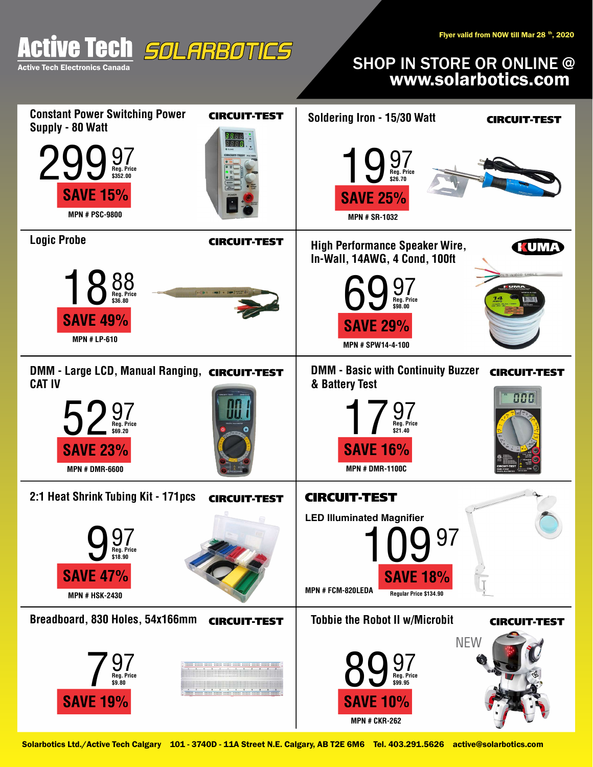

## SHOP IN STORE OR ONLINE @<br>www.solarbotics.com

| <b>Constant Power Switching Power</b><br><b>CIRCUIT-TEST</b><br>Supply - 80 Watt             | Soldering Iron - 15/30 Watt<br><b>CIRCUIT TEST</b>                                                       |
|----------------------------------------------------------------------------------------------|----------------------------------------------------------------------------------------------------------|
| Reg. Price<br>\$352.00<br><b>SAVE 15%</b><br><b>MPN # PSC-9800</b>                           | $\bigcup_{\text{Reg. Price}}$<br>\$26.70<br><b>SAVE 25%</b><br><b>MPN # SR-1032</b>                      |
| <b>Logic Probe</b><br><b>CIRCUIT-TEST</b>                                                    | <b>High Performance Speaker Wire,</b><br><b>KUMA</b><br>In-Wall, 14AWG, 4 Cond, 100ft                    |
| <b>Inches and Company</b><br>Reg. Price<br>\$36.80<br><b>SAVE 49%</b><br><b>MPN # LP-610</b> | Reg. Price<br>\$98.00<br><b>SAVE 29%</b><br>MPN # SPW14-4-100                                            |
| DMM - Large LCD, Manual Ranging, CIRCUIT-TEST<br><b>CAT IV</b>                               | <b>DMM - Basic with Continuity Buzzer</b><br><b>CIRCUIT-TEST</b><br>& Battery Test                       |
| <b>Meg.</b> Price<br>\$69.20<br><b>SAVE 23%</b><br><b>MPN # DMR-6600</b>                     | 888<br>Reg. Price<br>\$21.40<br><b>SAVE 16%</b><br><b>MPN # DMR-1100C</b>                                |
| 2:1 Heat Shrink Tubing Kit - 171pcs<br><b>CIRCUIT-TEST</b>                                   | <b>CIRCUIT-TEST</b>                                                                                      |
| റ7<br>IJ<br>Reg. Price<br>\$18.90<br><b>SAVE 47%</b><br><b>MPN # HSK-2430</b>                | <b>LED Illuminated Magnifier</b><br>97<br><b>SAVE 18%</b><br>MPN # FCM-820LEDA<br>Regular Price \$134.90 |
| Breadboard, 830 Holes, 54x166mm<br><b>CIRCUIT-TEST</b>                                       | <b>Tobbie the Robot II w/Microbit</b><br><b>CIRCUIT TEST</b>                                             |
| Reg. Price<br>\$9.80<br><b>SAVE 19%</b>                                                      | <b>NEW</b><br>Reg. Price<br>\$99.95<br><b>SAVE 10%</b><br><b>MPN # CKR-262</b>                           |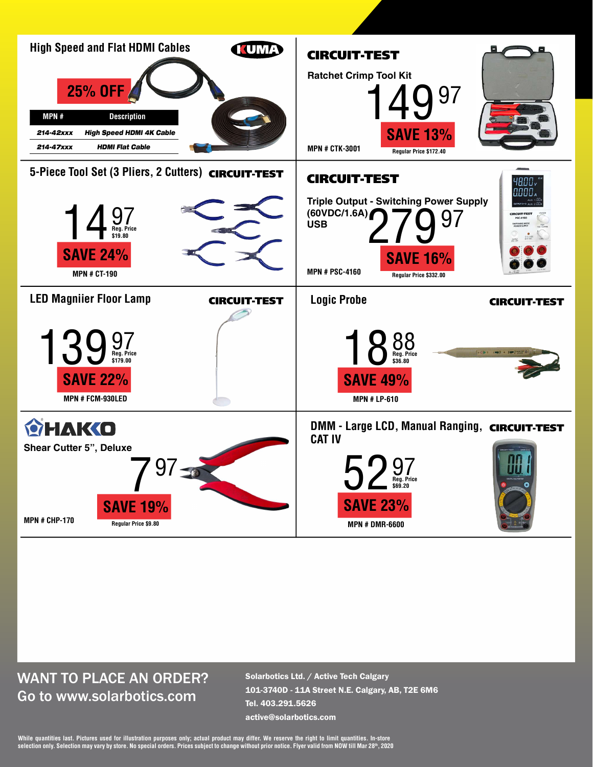

## WANT TO PLACE AN ORDER? Go to www.solarbotics.com

Solarbotics Ltd. / Active Tech Calgary 101-3740D - 11A Street N.E. Calgary, AB, T2E 6M6 Tel. 403.291.5626 active@solarbotics.com

While quantities last. Pictures used for illustration purposes only; actual product may differ. We reserve the right to limit quantities. In-store<br>selection only. Selection may vary by store. No special orders. Prices subj